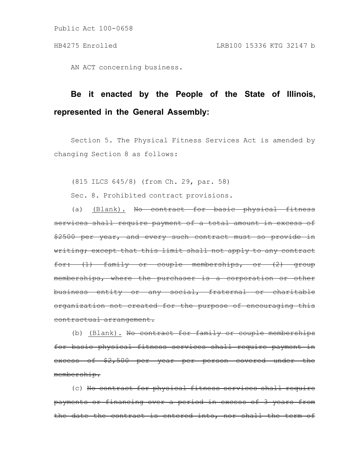Public Act 100-0658

AN ACT concerning business.

## **Be it enacted by the People of the State of Illinois, represented in the General Assembly:**

Section 5. The Physical Fitness Services Act is amended by changing Section 8 as follows:

(815 ILCS 645/8) (from Ch. 29, par. 58)

Sec. 8. Prohibited contract provisions.

(a) (Blank). No contract for basic physical fitness services shall require payment of a total amount in excess of \$2500 per year, and every such contract must so provide in writing; except that this limit shall not apply to any contract for: (1) family or couple memberships, or (2) group memberships, where the purchaser is a corporation or other business entity or any social, fraternal or charitable organization not created for the purpose of encouraging this contractual arrangement.

(b) (Blank). No contract for family or couple memberships for basic physical fitness services shall require payment in excess of \$2,500 per year per person covered under the membership.

(c) No contract for physical fitness services shall require payments or financing over a period in excess of 3 years from the date the contract is entered into, nor shall the term of